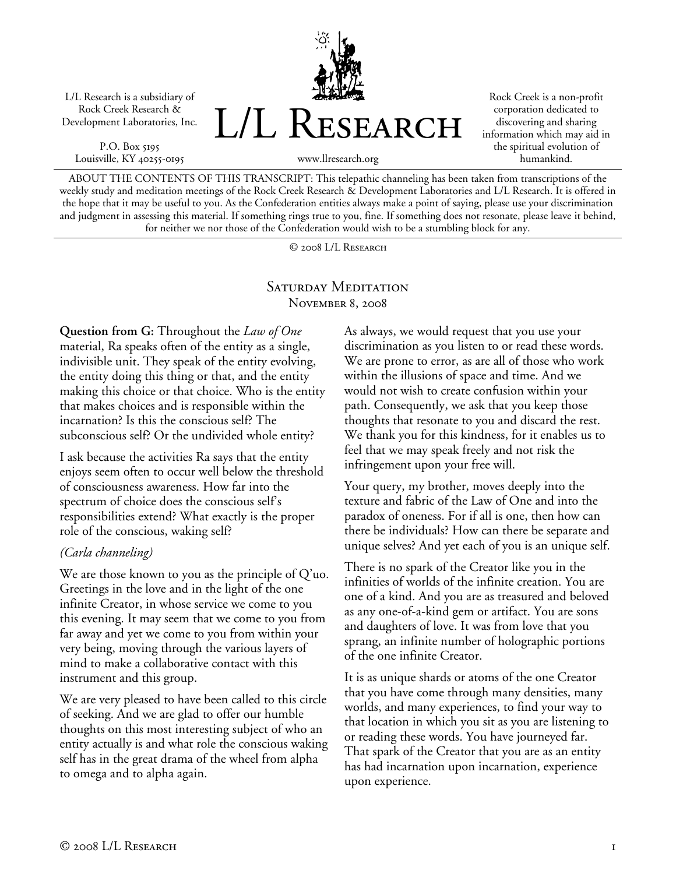L/L Research is a subsidiary of Rock Creek Research & Development Laboratories, Inc.

P.O. Box 5195 Louisville, KY 40255-0195



Rock Creek is a non-profit corporation dedicated to discovering and sharing information which may aid in the spiritual evolution of humankind.

ABOUT THE CONTENTS OF THIS TRANSCRIPT: This telepathic channeling has been taken from transcriptions of the weekly study and meditation meetings of the Rock Creek Research & Development Laboratories and L/L Research. It is offered in the hope that it may be useful to you. As the Confederation entities always make a point of saying, please use your discrimination and judgment in assessing this material. If something rings true to you, fine. If something does not resonate, please leave it behind, for neither we nor those of the Confederation would wish to be a stumbling block for any.

© 2008 L/L Research

## SATURDAY MEDITATION November 8, 2008

**Question from G:** Throughout the *Law of One* material, Ra speaks often of the entity as a single, indivisible unit. They speak of the entity evolving, the entity doing this thing or that, and the entity making this choice or that choice. Who is the entity that makes choices and is responsible within the incarnation? Is this the conscious self? The subconscious self? Or the undivided whole entity?

I ask because the activities Ra says that the entity enjoys seem often to occur well below the threshold of consciousness awareness. How far into the spectrum of choice does the conscious self's responsibilities extend? What exactly is the proper role of the conscious, waking self?

## *(Carla channeling)*

We are those known to you as the principle of Q'uo. Greetings in the love and in the light of the one infinite Creator, in whose service we come to you this evening. It may seem that we come to you from far away and yet we come to you from within your very being, moving through the various layers of mind to make a collaborative contact with this instrument and this group.

We are very pleased to have been called to this circle of seeking. And we are glad to offer our humble thoughts on this most interesting subject of who an entity actually is and what role the conscious waking self has in the great drama of the wheel from alpha to omega and to alpha again.

As always, we would request that you use your discrimination as you listen to or read these words. We are prone to error, as are all of those who work within the illusions of space and time. And we would not wish to create confusion within your path. Consequently, we ask that you keep those thoughts that resonate to you and discard the rest. We thank you for this kindness, for it enables us to feel that we may speak freely and not risk the infringement upon your free will.

Your query, my brother, moves deeply into the texture and fabric of the Law of One and into the paradox of oneness. For if all is one, then how can there be individuals? How can there be separate and unique selves? And yet each of you is an unique self.

There is no spark of the Creator like you in the infinities of worlds of the infinite creation. You are one of a kind. And you are as treasured and beloved as any one-of-a-kind gem or artifact. You are sons and daughters of love. It was from love that you sprang, an infinite number of holographic portions of the one infinite Creator.

It is as unique shards or atoms of the one Creator that you have come through many densities, many worlds, and many experiences, to find your way to that location in which you sit as you are listening to or reading these words. You have journeyed far. That spark of the Creator that you are as an entity has had incarnation upon incarnation, experience upon experience.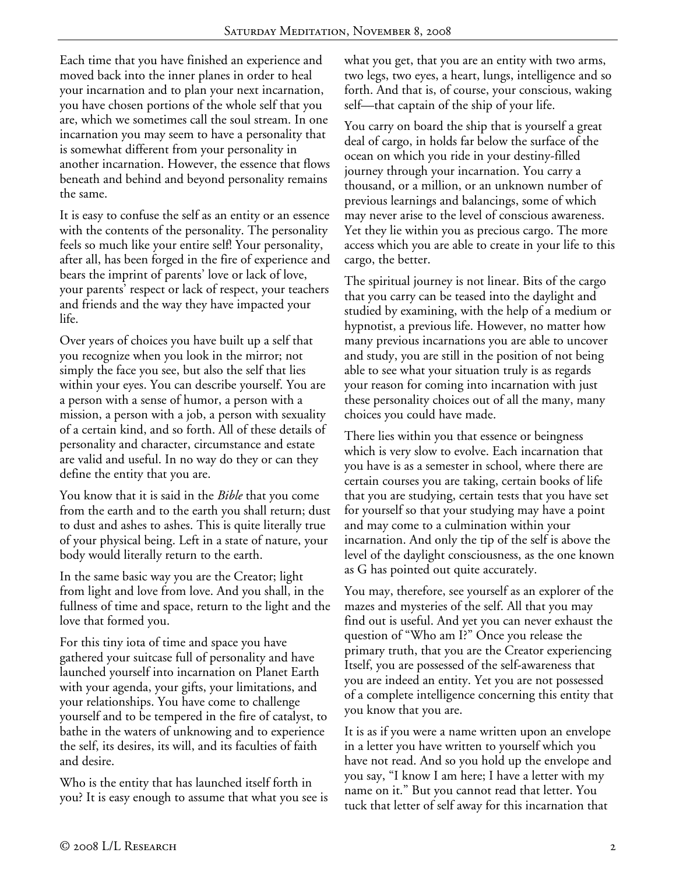Each time that you have finished an experience and moved back into the inner planes in order to heal your incarnation and to plan your next incarnation, you have chosen portions of the whole self that you are, which we sometimes call the soul stream. In one incarnation you may seem to have a personality that is somewhat different from your personality in another incarnation. However, the essence that flows beneath and behind and beyond personality remains the same.

It is easy to confuse the self as an entity or an essence with the contents of the personality. The personality feels so much like your entire self! Your personality, after all, has been forged in the fire of experience and bears the imprint of parents' love or lack of love, your parents' respect or lack of respect, your teachers and friends and the way they have impacted your life.

Over years of choices you have built up a self that you recognize when you look in the mirror; not simply the face you see, but also the self that lies within your eyes. You can describe yourself. You are a person with a sense of humor, a person with a mission, a person with a job, a person with sexuality of a certain kind, and so forth. All of these details of personality and character, circumstance and estate are valid and useful. In no way do they or can they define the entity that you are.

You know that it is said in the *Bible* that you come from the earth and to the earth you shall return; dust to dust and ashes to ashes. This is quite literally true of your physical being. Left in a state of nature, your body would literally return to the earth.

In the same basic way you are the Creator; light from light and love from love. And you shall, in the fullness of time and space, return to the light and the love that formed you.

For this tiny iota of time and space you have gathered your suitcase full of personality and have launched yourself into incarnation on Planet Earth with your agenda, your gifts, your limitations, and your relationships. You have come to challenge yourself and to be tempered in the fire of catalyst, to bathe in the waters of unknowing and to experience the self, its desires, its will, and its faculties of faith and desire.

Who is the entity that has launched itself forth in you? It is easy enough to assume that what you see is what you get, that you are an entity with two arms, two legs, two eyes, a heart, lungs, intelligence and so forth. And that is, of course, your conscious, waking self—that captain of the ship of your life.

You carry on board the ship that is yourself a great deal of cargo, in holds far below the surface of the ocean on which you ride in your destiny-filled journey through your incarnation. You carry a thousand, or a million, or an unknown number of previous learnings and balancings, some of which may never arise to the level of conscious awareness. Yet they lie within you as precious cargo. The more access which you are able to create in your life to this cargo, the better.

The spiritual journey is not linear. Bits of the cargo that you carry can be teased into the daylight and studied by examining, with the help of a medium or hypnotist, a previous life. However, no matter how many previous incarnations you are able to uncover and study, you are still in the position of not being able to see what your situation truly is as regards your reason for coming into incarnation with just these personality choices out of all the many, many choices you could have made.

There lies within you that essence or beingness which is very slow to evolve. Each incarnation that you have is as a semester in school, where there are certain courses you are taking, certain books of life that you are studying, certain tests that you have set for yourself so that your studying may have a point and may come to a culmination within your incarnation. And only the tip of the self is above the level of the daylight consciousness, as the one known as G has pointed out quite accurately.

You may, therefore, see yourself as an explorer of the mazes and mysteries of the self. All that you may find out is useful. And yet you can never exhaust the question of "Who am I?" Once you release the primary truth, that you are the Creator experiencing Itself, you are possessed of the self-awareness that you are indeed an entity. Yet you are not possessed of a complete intelligence concerning this entity that you know that you are.

It is as if you were a name written upon an envelope in a letter you have written to yourself which you have not read. And so you hold up the envelope and you say, "I know I am here; I have a letter with my name on it." But you cannot read that letter. You tuck that letter of self away for this incarnation that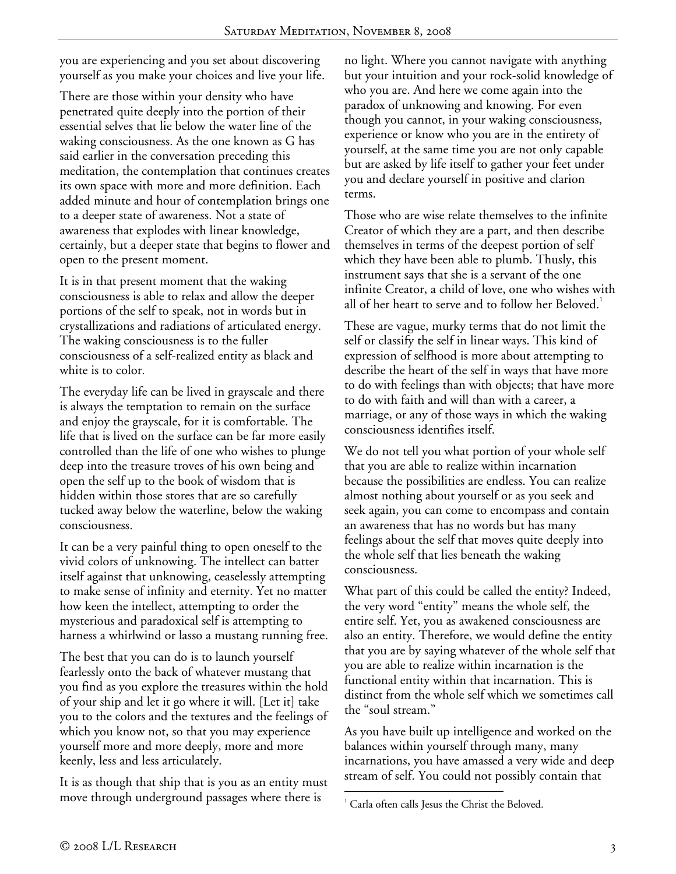you are experiencing and you set about discovering yourself as you make your choices and live your life.

There are those within your density who have penetrated quite deeply into the portion of their essential selves that lie below the water line of the waking consciousness. As the one known as G has said earlier in the conversation preceding this meditation, the contemplation that continues creates its own space with more and more definition. Each added minute and hour of contemplation brings one to a deeper state of awareness. Not a state of awareness that explodes with linear knowledge, certainly, but a deeper state that begins to flower and open to the present moment.

It is in that present moment that the waking consciousness is able to relax and allow the deeper portions of the self to speak, not in words but in crystallizations and radiations of articulated energy. The waking consciousness is to the fuller consciousness of a self-realized entity as black and white is to color.

The everyday life can be lived in grayscale and there is always the temptation to remain on the surface and enjoy the grayscale, for it is comfortable. The life that is lived on the surface can be far more easily controlled than the life of one who wishes to plunge deep into the treasure troves of his own being and open the self up to the book of wisdom that is hidden within those stores that are so carefully tucked away below the waterline, below the waking consciousness.

It can be a very painful thing to open oneself to the vivid colors of unknowing. The intellect can batter itself against that unknowing, ceaselessly attempting to make sense of infinity and eternity. Yet no matter how keen the intellect, attempting to order the mysterious and paradoxical self is attempting to harness a whirlwind or lasso a mustang running free.

The best that you can do is to launch yourself fearlessly onto the back of whatever mustang that you find as you explore the treasures within the hold of your ship and let it go where it will. [Let it] take you to the colors and the textures and the feelings of which you know not, so that you may experience yourself more and more deeply, more and more keenly, less and less articulately.

It is as though that ship that is you as an entity must move through underground passages where there is

no light. Where you cannot navigate with anything but your intuition and your rock-solid knowledge of who you are. And here we come again into the paradox of unknowing and knowing. For even though you cannot, in your waking consciousness, experience or know who you are in the entirety of yourself, at the same time you are not only capable but are asked by life itself to gather your feet under you and declare yourself in positive and clarion terms.

Those who are wise relate themselves to the infinite Creator of which they are a part, and then describe themselves in terms of the deepest portion of self which they have been able to plumb. Thusly, this instrument says that she is a servant of the one infinite Creator, a child of love, one who wishes with all of her heart to serve and to follow her Beloved.<sup>1</sup>

These are vague, murky terms that do not limit the self or classify the self in linear ways. This kind of expression of selfhood is more about attempting to describe the heart of the self in ways that have more to do with feelings than with objects; that have more to do with faith and will than with a career, a marriage, or any of those ways in which the waking consciousness identifies itself.

We do not tell you what portion of your whole self that you are able to realize within incarnation because the possibilities are endless. You can realize almost nothing about yourself or as you seek and seek again, you can come to encompass and contain an awareness that has no words but has many feelings about the self that moves quite deeply into the whole self that lies beneath the waking consciousness.

What part of this could be called the entity? Indeed, the very word "entity" means the whole self, the entire self. Yet, you as awakened consciousness are also an entity. Therefore, we would define the entity that you are by saying whatever of the whole self that you are able to realize within incarnation is the functional entity within that incarnation. This is distinct from the whole self which we sometimes call the "soul stream."

As you have built up intelligence and worked on the balances within yourself through many, many incarnations, you have amassed a very wide and deep stream of self. You could not possibly contain that

<sup>-</sup>1 Carla often calls Jesus the Christ the Beloved.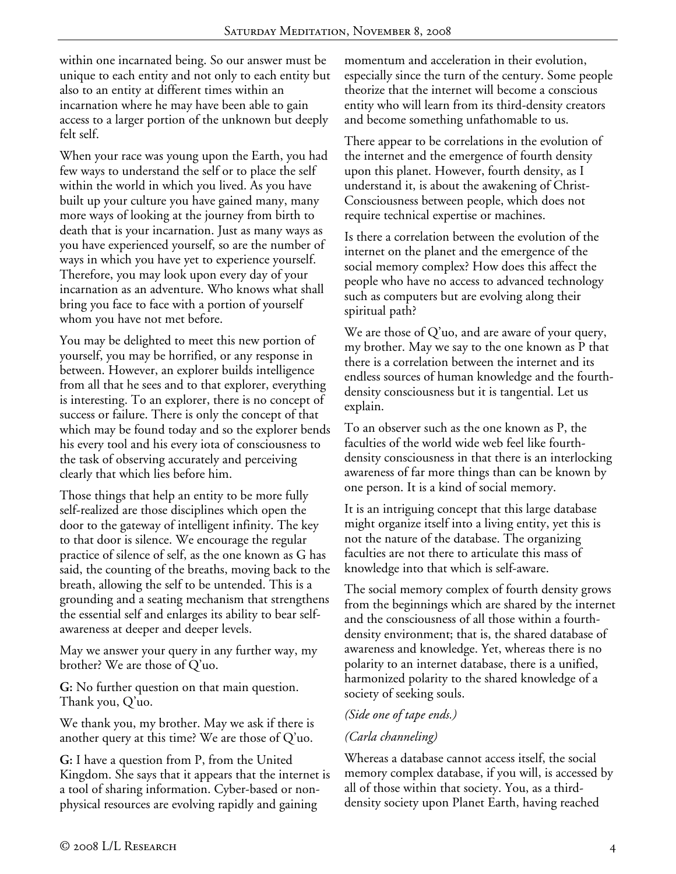within one incarnated being. So our answer must be unique to each entity and not only to each entity but also to an entity at different times within an incarnation where he may have been able to gain access to a larger portion of the unknown but deeply felt self.

When your race was young upon the Earth, you had few ways to understand the self or to place the self within the world in which you lived. As you have built up your culture you have gained many, many more ways of looking at the journey from birth to death that is your incarnation. Just as many ways as you have experienced yourself, so are the number of ways in which you have yet to experience yourself. Therefore, you may look upon every day of your incarnation as an adventure. Who knows what shall bring you face to face with a portion of yourself whom you have not met before.

You may be delighted to meet this new portion of yourself, you may be horrified, or any response in between. However, an explorer builds intelligence from all that he sees and to that explorer, everything is interesting. To an explorer, there is no concept of success or failure. There is only the concept of that which may be found today and so the explorer bends his every tool and his every iota of consciousness to the task of observing accurately and perceiving clearly that which lies before him.

Those things that help an entity to be more fully self-realized are those disciplines which open the door to the gateway of intelligent infinity. The key to that door is silence. We encourage the regular practice of silence of self, as the one known as G has said, the counting of the breaths, moving back to the breath, allowing the self to be untended. This is a grounding and a seating mechanism that strengthens the essential self and enlarges its ability to bear selfawareness at deeper and deeper levels.

May we answer your query in any further way, my brother? We are those of Q'uo.

**G:** No further question on that main question. Thank you, Q'uo.

We thank you, my brother. May we ask if there is another query at this time? We are those of Q'uo.

**G:** I have a question from P, from the United Kingdom. She says that it appears that the internet is a tool of sharing information. Cyber-based or nonphysical resources are evolving rapidly and gaining

momentum and acceleration in their evolution, especially since the turn of the century. Some people theorize that the internet will become a conscious entity who will learn from its third-density creators and become something unfathomable to us.

There appear to be correlations in the evolution of the internet and the emergence of fourth density upon this planet. However, fourth density, as I understand it, is about the awakening of Christ-Consciousness between people, which does not require technical expertise or machines.

Is there a correlation between the evolution of the internet on the planet and the emergence of the social memory complex? How does this affect the people who have no access to advanced technology such as computers but are evolving along their spiritual path?

We are those of Q'uo, and are aware of your query, my brother. May we say to the one known as P that there is a correlation between the internet and its endless sources of human knowledge and the fourthdensity consciousness but it is tangential. Let us explain.

To an observer such as the one known as P, the faculties of the world wide web feel like fourthdensity consciousness in that there is an interlocking awareness of far more things than can be known by one person. It is a kind of social memory.

It is an intriguing concept that this large database might organize itself into a living entity, yet this is not the nature of the database. The organizing faculties are not there to articulate this mass of knowledge into that which is self-aware.

The social memory complex of fourth density grows from the beginnings which are shared by the internet and the consciousness of all those within a fourthdensity environment; that is, the shared database of awareness and knowledge. Yet, whereas there is no polarity to an internet database, there is a unified, harmonized polarity to the shared knowledge of a society of seeking souls.

## *(Side one of tape ends.)*

## *(Carla channeling)*

Whereas a database cannot access itself, the social memory complex database, if you will, is accessed by all of those within that society. You, as a thirddensity society upon Planet Earth, having reached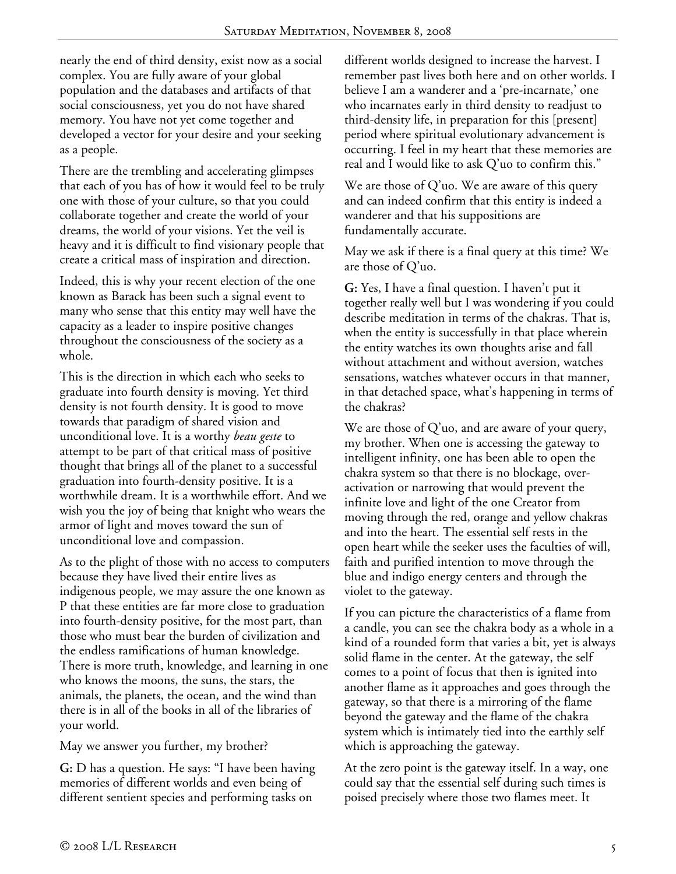nearly the end of third density, exist now as a social complex. You are fully aware of your global population and the databases and artifacts of that social consciousness, yet you do not have shared memory. You have not yet come together and developed a vector for your desire and your seeking as a people.

There are the trembling and accelerating glimpses that each of you has of how it would feel to be truly one with those of your culture, so that you could collaborate together and create the world of your dreams, the world of your visions. Yet the veil is heavy and it is difficult to find visionary people that create a critical mass of inspiration and direction.

Indeed, this is why your recent election of the one known as Barack has been such a signal event to many who sense that this entity may well have the capacity as a leader to inspire positive changes throughout the consciousness of the society as a whole.

This is the direction in which each who seeks to graduate into fourth density is moving. Yet third density is not fourth density. It is good to move towards that paradigm of shared vision and unconditional love. It is a worthy *beau geste* to attempt to be part of that critical mass of positive thought that brings all of the planet to a successful graduation into fourth-density positive. It is a worthwhile dream. It is a worthwhile effort. And we wish you the joy of being that knight who wears the armor of light and moves toward the sun of unconditional love and compassion.

As to the plight of those with no access to computers because they have lived their entire lives as indigenous people, we may assure the one known as P that these entities are far more close to graduation into fourth-density positive, for the most part, than those who must bear the burden of civilization and the endless ramifications of human knowledge. There is more truth, knowledge, and learning in one who knows the moons, the suns, the stars, the animals, the planets, the ocean, and the wind than there is in all of the books in all of the libraries of your world.

May we answer you further, my brother?

**G:** D has a question. He says: "I have been having memories of different worlds and even being of different sentient species and performing tasks on

different worlds designed to increase the harvest. I remember past lives both here and on other worlds. I believe I am a wanderer and a 'pre-incarnate,' one who incarnates early in third density to readjust to third-density life, in preparation for this [present] period where spiritual evolutionary advancement is occurring. I feel in my heart that these memories are real and I would like to ask Q'uo to confirm this."

We are those of Q'uo. We are aware of this query and can indeed confirm that this entity is indeed a wanderer and that his suppositions are fundamentally accurate.

May we ask if there is a final query at this time? We are those of Q'uo.

**G:** Yes, I have a final question. I haven't put it together really well but I was wondering if you could describe meditation in terms of the chakras. That is, when the entity is successfully in that place wherein the entity watches its own thoughts arise and fall without attachment and without aversion, watches sensations, watches whatever occurs in that manner, in that detached space, what's happening in terms of the chakras?

We are those of Q'uo, and are aware of your query, my brother. When one is accessing the gateway to intelligent infinity, one has been able to open the chakra system so that there is no blockage, overactivation or narrowing that would prevent the infinite love and light of the one Creator from moving through the red, orange and yellow chakras and into the heart. The essential self rests in the open heart while the seeker uses the faculties of will, faith and purified intention to move through the blue and indigo energy centers and through the violet to the gateway.

If you can picture the characteristics of a flame from a candle, you can see the chakra body as a whole in a kind of a rounded form that varies a bit, yet is always solid flame in the center. At the gateway, the self comes to a point of focus that then is ignited into another flame as it approaches and goes through the gateway, so that there is a mirroring of the flame beyond the gateway and the flame of the chakra system which is intimately tied into the earthly self which is approaching the gateway.

At the zero point is the gateway itself. In a way, one could say that the essential self during such times is poised precisely where those two flames meet. It